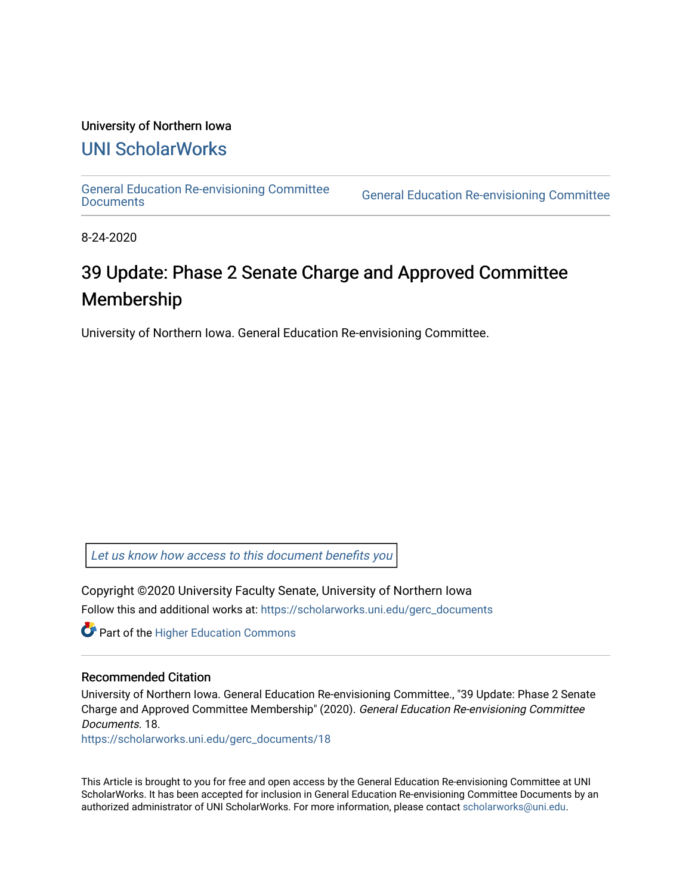### University of Northern Iowa

## [UNI ScholarWorks](https://scholarworks.uni.edu/)

[General Education Re-envisioning Committee](https://scholarworks.uni.edu/gerc_documents) 

**General Education Re-envisioning Committee** 

8-24-2020

# 39 Update: Phase 2 Senate Charge and Approved Committee Membership

University of Northern Iowa. General Education Re-envisioning Committee.

[Let us know how access to this document benefits you](https://scholarworks.uni.edu/feedback_form.html) 

Copyright ©2020 University Faculty Senate, University of Northern Iowa Follow this and additional works at: [https://scholarworks.uni.edu/gerc\\_documents](https://scholarworks.uni.edu/gerc_documents?utm_source=scholarworks.uni.edu%2Fgerc_documents%2F18&utm_medium=PDF&utm_campaign=PDFCoverPages)

**Part of the Higher Education Commons** 

#### Recommended Citation

University of Northern Iowa. General Education Re-envisioning Committee., "39 Update: Phase 2 Senate Charge and Approved Committee Membership" (2020). General Education Re-envisioning Committee Documents. 18.

[https://scholarworks.uni.edu/gerc\\_documents/18](https://scholarworks.uni.edu/gerc_documents/18?utm_source=scholarworks.uni.edu%2Fgerc_documents%2F18&utm_medium=PDF&utm_campaign=PDFCoverPages) 

This Article is brought to you for free and open access by the General Education Re-envisioning Committee at UNI ScholarWorks. It has been accepted for inclusion in General Education Re-envisioning Committee Documents by an authorized administrator of UNI ScholarWorks. For more information, please contact [scholarworks@uni.edu.](mailto:scholarworks@uni.edu)